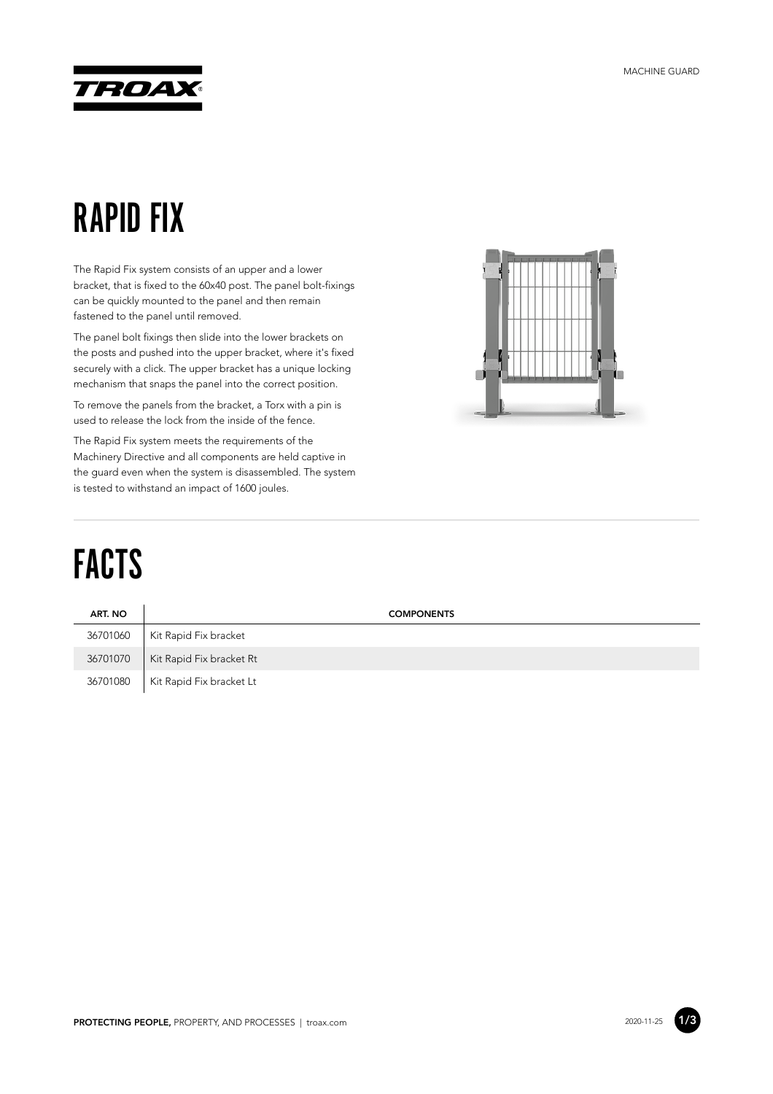

#### RAPID FIX

The Rapid Fix system consists of an upper and a lower bracket, that is fixed to the 60x40 post. The panel bolt-fixings can be quickly mounted to the panel and then remain fastened to the panel until removed.

The panel bolt fixings then slide into the lower brackets on the posts and pushed into the upper bracket, where it's fixed securely with a click. The upper bracket has a unique locking mechanism that snaps the panel into the correct position.

To remove the panels from the bracket, a Torx with a pin is used to release the lock from the inside of the fence.

The Rapid Fix system meets the requirements of the Machinery Directive and all components are held captive in the guard even when the system is disassembled. The system is tested to withstand an impact of 1600 joules.



# FACTS

| ART. NO  | <b>COMPONENTS</b>        |
|----------|--------------------------|
| 36701060 | Kit Rapid Fix bracket    |
| 36701070 | Kit Rapid Fix bracket Rt |
| 36701080 | Kit Rapid Fix bracket Lt |

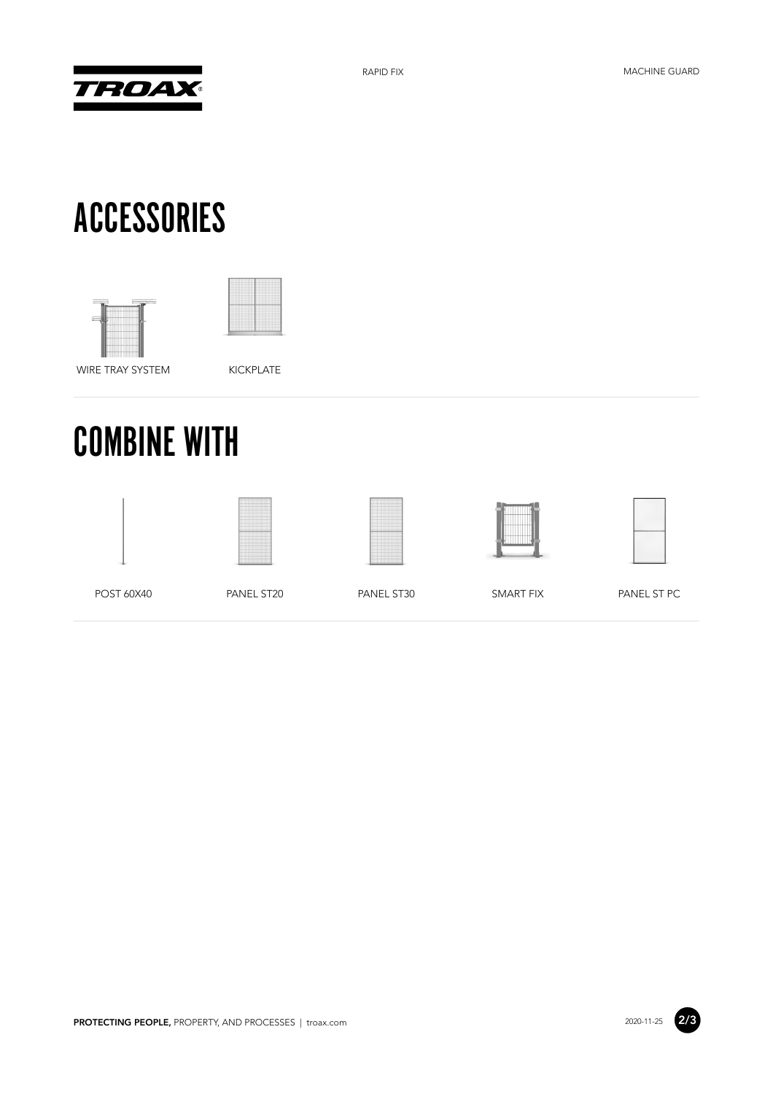

# ACCESSORIES





WIRE TRAY SYSTEM KICKPLATE

# COMBINE WITH